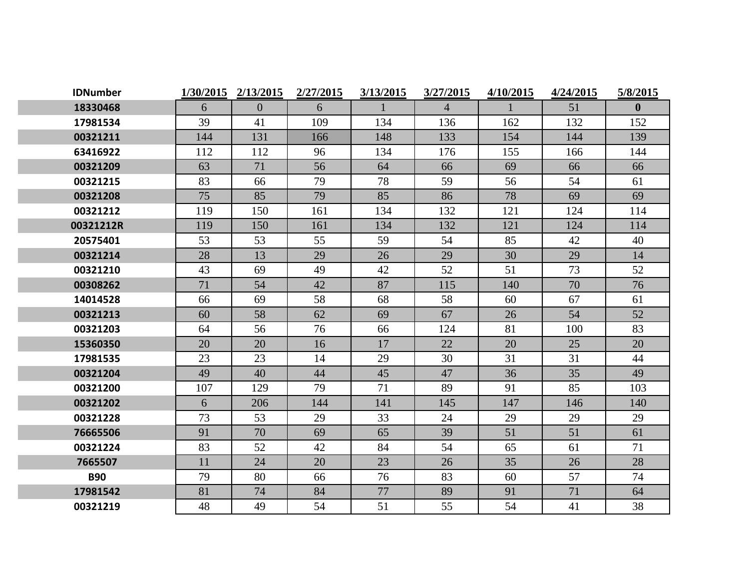| <b>IDNumber</b> | 1/30/2015 | 2/13/2015    | 2/27/2015 | 3/13/2015 | 3/27/2015      | 4/10/2015 | 4/24/2015 | 5/8/2015     |
|-----------------|-----------|--------------|-----------|-----------|----------------|-----------|-----------|--------------|
| 18330468        | 6         | $\mathbf{0}$ | 6         |           | $\overline{4}$ |           | 51        | $\mathbf{0}$ |
| 17981534        | 39        | 41           | 109       | 134       | 136            | 162       | 132       | 152          |
| 00321211        | 144       | 131          | 166       | 148       | 133            | 154       | 144       | 139          |
| 63416922        | 112       | 112          | 96        | 134       | 176            | 155       | 166       | 144          |
| 00321209        | 63        | 71           | 56        | 64        | 66             | 69        | 66        | 66           |
| 00321215        | 83        | 66           | 79        | 78        | 59             | 56        | 54        | 61           |
| 00321208        | 75        | 85           | 79        | 85        | 86             | 78        | 69        | 69           |
| 00321212        | 119       | 150          | 161       | 134       | 132            | 121       | 124       | 114          |
| 00321212R       | 119       | 150          | 161       | 134       | 132            | 121       | 124       | 114          |
| 20575401        | 53        | 53           | 55        | 59        | 54             | 85        | 42        | 40           |
| 00321214        | 28        | 13           | 29        | 26        | 29             | 30        | 29        | 14           |
| 00321210        | 43        | 69           | 49        | 42        | 52             | 51        | 73        | 52           |
| 00308262        | 71        | 54           | 42        | 87        | 115            | 140       | 70        | 76           |
| 14014528        | 66        | 69           | 58        | 68        | 58             | 60        | 67        | 61           |
| 00321213        | 60        | 58           | 62        | 69        | 67             | 26        | 54        | 52           |
| 00321203        | 64        | 56           | 76        | 66        | 124            | 81        | 100       | 83           |
| 15360350        | 20        | 20           | 16        | 17        | 22             | 20        | 25        | 20           |
| 17981535        | 23        | 23           | 14        | 29        | 30             | 31        | 31        | 44           |
| 00321204        | 49        | 40           | 44        | 45        | 47             | 36        | 35        | 49           |
| 00321200        | 107       | 129          | 79        | 71        | 89             | 91        | 85        | 103          |
| 00321202        | 6         | 206          | 144       | 141       | 145            | 147       | 146       | 140          |
| 00321228        | 73        | 53           | 29        | 33        | 24             | 29        | 29        | 29           |
| 76665506        | 91        | 70           | 69        | 65        | 39             | 51        | 51        | 61           |
| 00321224        | 83        | 52           | 42        | 84        | 54             | 65        | 61        | 71           |
| 7665507         | 11        | 24           | 20        | 23        | 26             | 35        | 26        | 28           |
| <b>B90</b>      | 79        | 80           | 66        | 76        | 83             | 60        | 57        | 74           |
| 17981542        | 81        | 74           | 84        | 77        | 89             | 91        | 71        | 64           |
| 00321219        | 48        | 49           | 54        | 51        | 55             | 54        | 41        | 38           |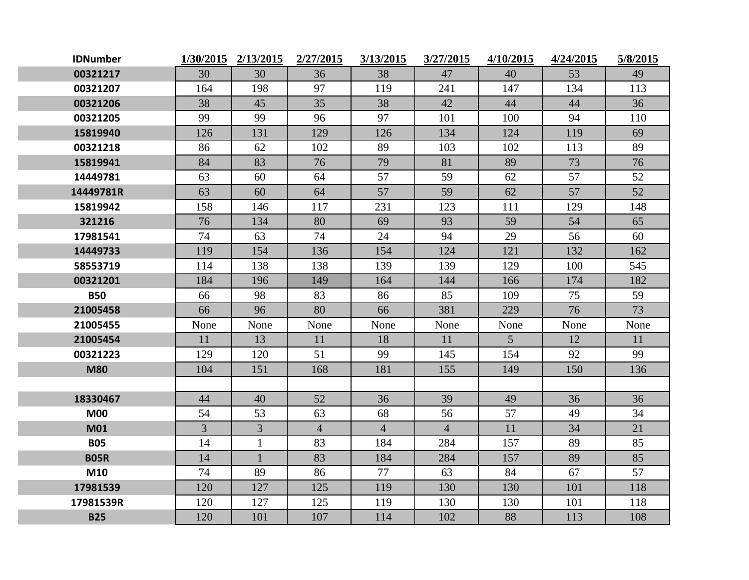| <b>IDNumber</b> |                | 1/30/2015 2/13/2015 | 2/27/2015      | 3/13/2015      | 3/27/2015      | 4/10/2015      | 4/24/2015 | 5/8/2015 |
|-----------------|----------------|---------------------|----------------|----------------|----------------|----------------|-----------|----------|
| 00321217        | 30             | 30                  | 36             | 38             | 47             | 40             | 53        | 49       |
| 00321207        | 164            | 198                 | 97             | 119            | 241            | 147            | 134       | 113      |
| 00321206        | 38             | 45                  | 35             | 38             | 42             | 44             | 44        | 36       |
| 00321205        | 99             | 99                  | 96             | 97             | 101            | 100            | 94        | 110      |
| 15819940        | 126            | 131                 | 129            | 126            | 134            | 124            | 119       | 69       |
| 00321218        | 86             | 62                  | 102            | 89             | 103            | 102            | 113       | 89       |
| 15819941        | 84             | 83                  | 76             | 79             | 81             | 89             | 73        | 76       |
| 14449781        | 63             | 60                  | 64             | 57             | 59             | 62             | 57        | 52       |
| 14449781R       | 63             | 60                  | 64             | 57             | 59             | 62             | 57        | 52       |
| 15819942        | 158            | 146                 | 117            | 231            | 123            | 111            | 129       | 148      |
| 321216          | 76             | 134                 | 80             | 69             | 93             | 59             | 54        | 65       |
| 17981541        | 74             | 63                  | 74             | 24             | 94             | 29             | 56        | 60       |
| 14449733        | 119            | 154                 | 136            | 154            | 124            | 121            | 132       | 162      |
| 58553719        | 114            | 138                 | 138            | 139            | 139            | 129            | 100       | 545      |
| 00321201        | 184            | 196                 | 149            | 164            | 144            | 166            | 174       | 182      |
| <b>B50</b>      | 66             | 98                  | 83             | 86             | 85             | 109            | 75        | 59       |
| 21005458        | 66             | 96                  | 80             | 66             | 381            | 229            | 76        | 73       |
| 21005455        | None           | None                | None           | None           | None           | None           | None      | None     |
| 21005454        | 11             | 13                  | 11             | 18             | 11             | 5 <sup>5</sup> | 12        | 11       |
| 00321223        | 129            | 120                 | 51             | 99             | 145            | 154            | 92        | 99       |
| <b>M80</b>      | 104            | 151                 | 168            | 181            | 155            | 149            | 150       | 136      |
|                 |                |                     |                |                |                |                |           |          |
| 18330467        | 44             | 40                  | 52             | 36             | 39             | 49             | 36        | 36       |
| <b>M00</b>      | 54             | 53                  | 63             | 68             | 56             | 57             | 49        | 34       |
| <b>M01</b>      | $\overline{3}$ | $\overline{3}$      | $\overline{4}$ | $\overline{4}$ | $\overline{4}$ | 11             | 34        | 21       |
| <b>B05</b>      | 14             | $\mathbf{1}$        | 83             | 184            | 284            | 157            | 89        | 85       |
| <b>B05R</b>     | 14             | $\mathbf{1}$        | 83             | 184            | 284            | 157            | 89        | 85       |
| M10             | 74             | 89                  | 86             | 77             | 63             | 84             | 67        | 57       |
| 17981539        | 120            | 127                 | 125            | 119            | 130            | 130            | 101       | 118      |
| 17981539R       | 120            | 127                 | 125            | 119            | 130            | 130            | 101       | 118      |
| <b>B25</b>      | 120            | 101                 | 107            | 114            | 102            | 88             | 113       | 108      |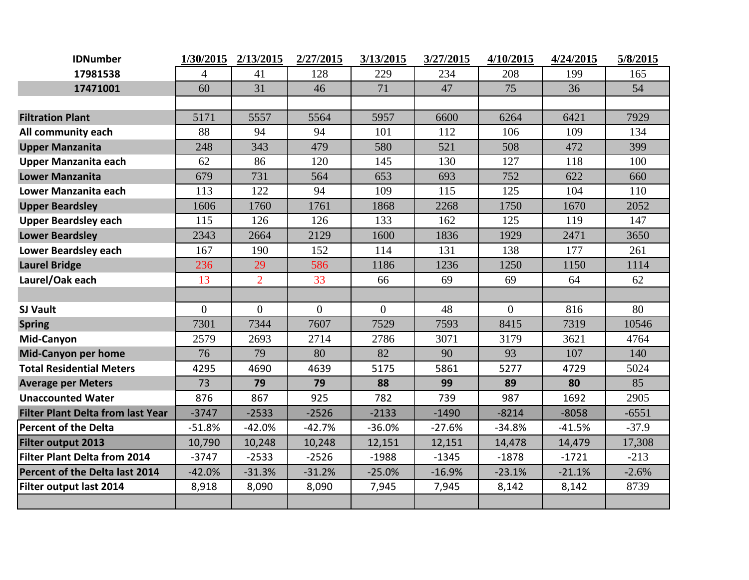| <b>IDNumber</b>                          |          | 1/30/2015 2/13/2015 | 2/27/2015      | 3/13/2015 | 3/27/2015 | 4/10/2015 | 4/24/2015 | 5/8/2015 |
|------------------------------------------|----------|---------------------|----------------|-----------|-----------|-----------|-----------|----------|
| 17981538                                 | 4        | 41                  | 128            | 229       | 234       | 208       | 199       | 165      |
| 17471001                                 | 60       | 31                  | 46             | 71        | 47        | 75        | 36        | 54       |
|                                          |          |                     |                |           |           |           |           |          |
| <b>Filtration Plant</b>                  | 5171     | 5557                | 5564           | 5957      | 6600      | 6264      | 6421      | 7929     |
| All community each                       | 88       | 94                  | 94             | 101       | 112       | 106       | 109       | 134      |
| <b>Upper Manzanita</b>                   | 248      | 343                 | 479            | 580       | 521       | 508       | 472       | 399      |
| Upper Manzanita each                     | 62       | 86                  | 120            | 145       | 130       | 127       | 118       | 100      |
| <b>Lower Manzanita</b>                   | 679      | 731                 | 564            | 653       | 693       | 752       | 622       | 660      |
| Lower Manzanita each                     | 113      | 122                 | 94             | 109       | 115       | 125       | 104       | 110      |
| <b>Upper Beardsley</b>                   | 1606     | 1760                | 1761           | 1868      | 2268      | 1750      | 1670      | 2052     |
| <b>Upper Beardsley each</b>              | 115      | 126                 | 126            | 133       | 162       | 125       | 119       | 147      |
| <b>Lower Beardsley</b>                   | 2343     | 2664                | 2129           | 1600      | 1836      | 1929      | 2471      | 3650     |
| <b>Lower Beardsley each</b>              | 167      | 190                 | 152            | 114       | 131       | 138       | 177       | 261      |
| <b>Laurel Bridge</b>                     | 236      | 29                  | 586            | 1186      | 1236      | 1250      | 1150      | 1114     |
| Laurel/Oak each                          | 13       | $\overline{2}$      | 33             | 66        | 69        | 69        | 64        | 62       |
|                                          |          |                     |                |           |           |           |           |          |
| <b>SJ Vault</b>                          | $\Omega$ | $\Omega$            | $\overline{0}$ | $\theta$  | 48        | $\Omega$  | 816       | 80       |
| <b>Spring</b>                            | 7301     | 7344                | 7607           | 7529      | 7593      | 8415      | 7319      | 10546    |
| Mid-Canyon                               | 2579     | 2693                | 2714           | 2786      | 3071      | 3179      | 3621      | 4764     |
| <b>Mid-Canyon per home</b>               | 76       | 79                  | 80             | 82        | 90        | 93        | 107       | 140      |
| <b>Total Residential Meters</b>          | 4295     | 4690                | 4639           | 5175      | 5861      | 5277      | 4729      | 5024     |
| <b>Average per Meters</b>                | 73       | 79                  | 79             | 88        | 99        | 89        | 80        | 85       |
| <b>Unaccounted Water</b>                 | 876      | 867                 | 925            | 782       | 739       | 987       | 1692      | 2905     |
| <b>Filter Plant Delta from last Year</b> | $-3747$  | $-2533$             | $-2526$        | $-2133$   | $-1490$   | $-8214$   | $-8058$   | $-6551$  |
| <b>Percent of the Delta</b>              | $-51.8%$ | $-42.0%$            | $-42.7%$       | $-36.0%$  | $-27.6%$  | $-34.8%$  | $-41.5%$  | $-37.9$  |
| Filter output 2013                       | 10,790   | 10,248              | 10,248         | 12,151    | 12,151    | 14,478    | 14,479    | 17,308   |
| <b>Filter Plant Delta from 2014</b>      | $-3747$  | $-2533$             | $-2526$        | $-1988$   | $-1345$   | $-1878$   | $-1721$   | $-213$   |
| Percent of the Delta last 2014           | $-42.0%$ | $-31.3%$            | $-31.2%$       | $-25.0%$  | $-16.9%$  | $-23.1%$  | $-21.1%$  | $-2.6%$  |
| Filter output last 2014                  | 8,918    | 8,090               | 8,090          | 7,945     | 7,945     | 8,142     | 8,142     | 8739     |
|                                          |          |                     |                |           |           |           |           |          |